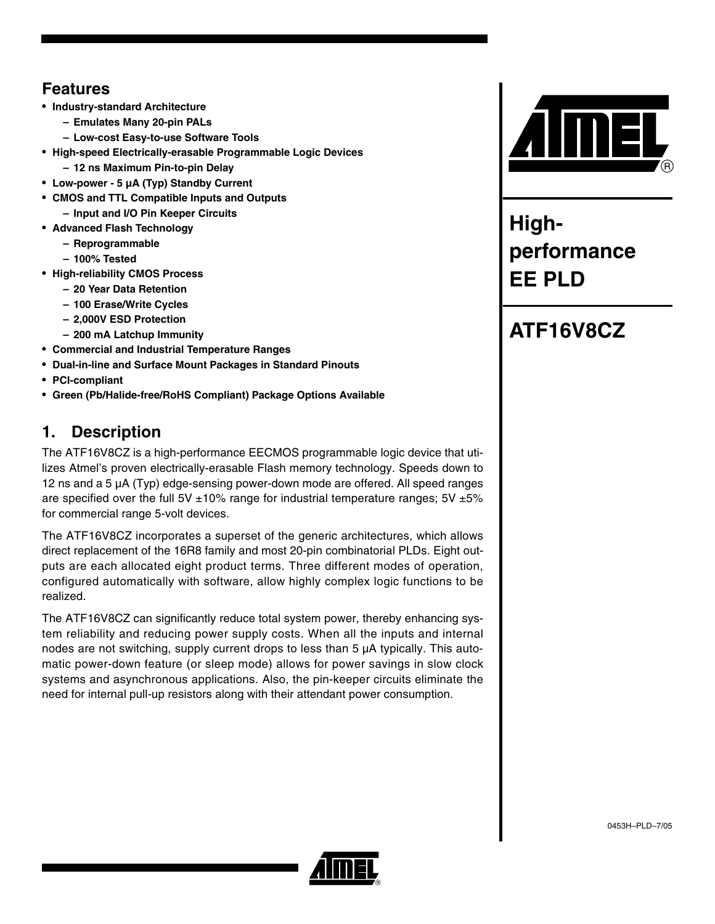## **Features**

- **Industry-standard Architecture**
	- **Emulates Many 20-pin PALs**
	- **Low-cost Easy-to-use Software Tools**
- **High-speed Electrically-erasable Programmable Logic Devices – 12 ns Maximum Pin-to-pin Delay**
- **Low-power 5 µA (Typ) Standby Current**
- **CMOS and TTL Compatible Inputs and Outputs – Input and I/O Pin Keeper Circuits**
- **Advanced Flash Technology**
	- **Reprogrammable**
	- **100% Tested**
- **High-reliability CMOS Process**
	- **20 Year Data Retention**
	- **100 Erase/Write Cycles**
	- **2,000V ESD Protection**
	- **200 mA Latchup Immunity**
- **Commercial and Industrial Temperature Ranges**
- **Dual-in-line and Surface Mount Packages in Standard Pinouts**
- **PCI-compliant**
- **Green (Pb/Halide-free/RoHS Compliant) Package Options Available**

## **1. Description**

The ATF16V8CZ is a high-performance EECMOS programmable logic device that utilizes Atmel's proven electrically-erasable Flash memory technology. Speeds down to 12 ns and a 5 µA (Typ) edge-sensing power-down mode are offered. All speed ranges are specified over the full 5V  $\pm$ 10% range for industrial temperature ranges; 5V  $\pm$ 5% for commercial range 5-volt devices.

The ATF16V8CZ incorporates a superset of the generic architectures, which allows direct replacement of the 16R8 family and most 20-pin combinatorial PLDs. Eight outputs are each allocated eight product terms. Three different modes of operation, configured automatically with software, allow highly complex logic functions to be realized.

The ATF16V8CZ can significantly reduce total system power, thereby enhancing system reliability and reducing power supply costs. When all the inputs and internal nodes are not switching, supply current drops to less than  $5 \mu A$  typically. This automatic power-down feature (or sleep mode) allows for power savings in slow clock systems and asynchronous applications. Also, the pin-keeper circuits eliminate the need for internal pull-up resistors along with their attendant power consumption.



**Highperformance EE PLD**



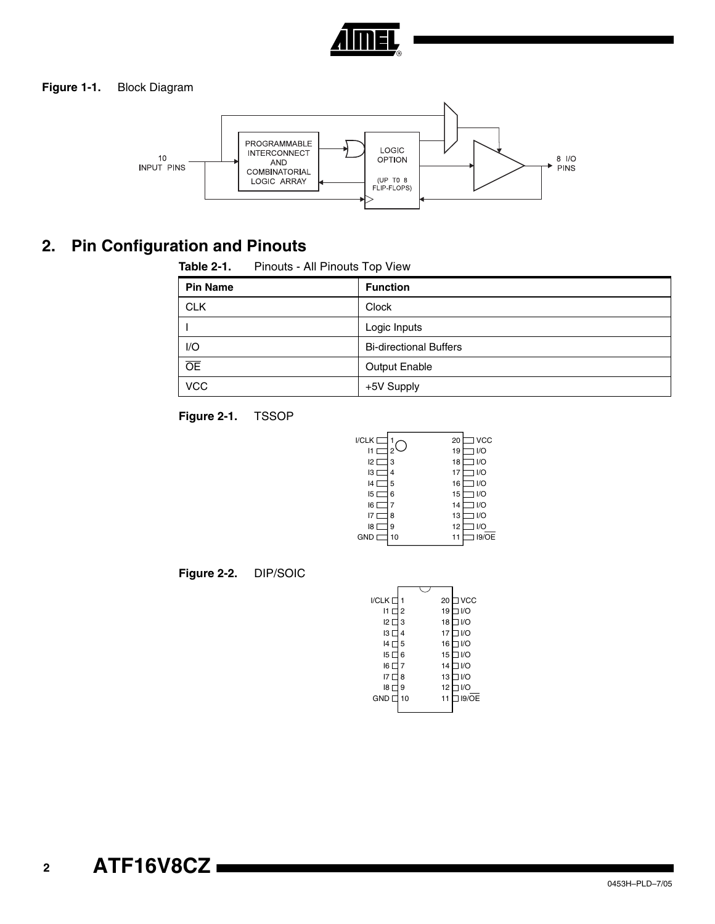

#### **Figure 1-1.** Block Diagram



## **2. Pin Configuration and Pinouts**

| Table 2-1.      | Pinouts - All Pinouts Top View |                               |  |
|-----------------|--------------------------------|-------------------------------|--|
| <b>Pin Name</b> |                                | <b>Function</b>               |  |
| <b>CLK</b>      |                                | Clock                         |  |
|                 |                                | Logic Inputs                  |  |
| I/O             |                                | <b>Bi-directional Buffers</b> |  |
| $\overline{OE}$ |                                | <b>Output Enable</b>          |  |
| <b>VCC</b>      |                                | +5V Supply                    |  |





**Figure 2-2.** DIP/SOIC

| I/CLK <sub>[</sub> |                | 20 | ∃ VCC |
|--------------------|----------------|----|-------|
| 11 $\sqcap$        | $\overline{2}$ | 19 | 1/O   |
| 12 L               | 3              | 18 | 1/O   |
| 13 L               | 4              | 17 | 1/O   |
| 14 L               | 5              | 16 | $U$ O |
| 15 <sup>2</sup>    | 6              | 15 | 1/O   |
| 16 <sup>°</sup>    | 7              | 14 | 1/O   |
| 17 E               | 8              | 13 | 1/O   |
| 18 L               | 9              | 12 | I/O   |
| $GND$ $\Box$       | 10             | 11 | 19/OE |
|                    |                |    |       |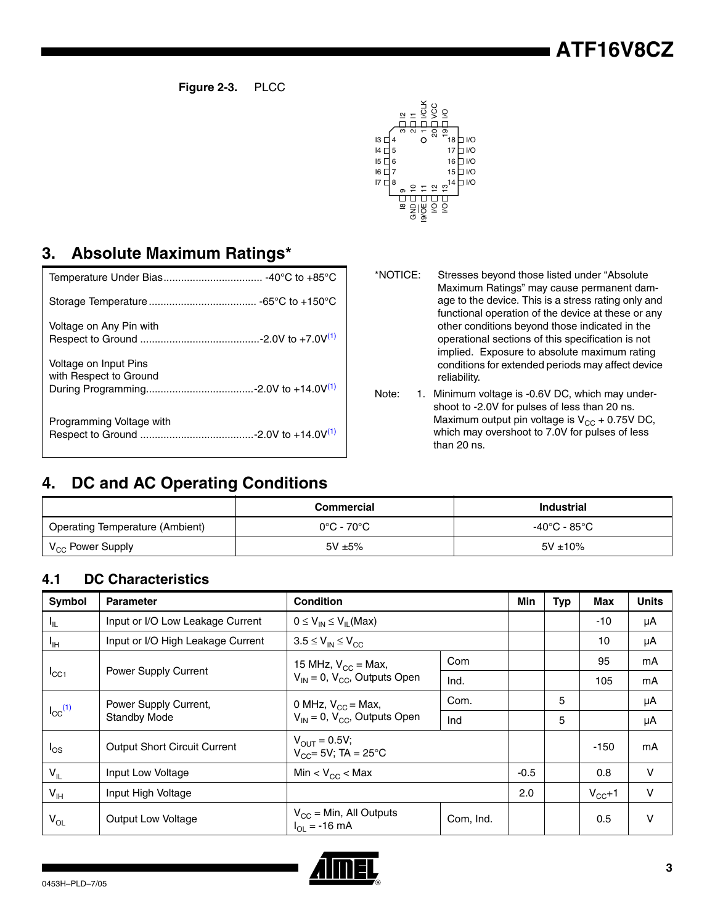**Figure 2-3.** PLCC



## **3. Absolute Maximum Ratings\***

| Voltage on Any Pin with                         |
|-------------------------------------------------|
| Voltage on Input Pins<br>with Respect to Ground |
| Programming Voltage with                        |

\*NOTICE: Stresses beyond those listed under "Absolute Maximum Ratings" may cause permanent damage to the device. This is a stress rating only and functional operation of the device at these or any other conditions beyond those indicated in the operational sections of this specification is not implied. Exposure to absolute maximum rating conditions for extended periods may affect device reliability.

<span id="page-2-0"></span>Note: 1. Minimum voltage is -0.6V DC, which may undershoot to -2.0V for pulses of less than 20 ns. Maximum output pin voltage is  $V_{CC}$  + 0.75V DC, which may overshoot to 7.0V for pulses of less than 20 ns.

## **4. DC and AC Operating Conditions**

|                                        | Commercial   | <b>Industrial</b> |
|----------------------------------------|--------------|-------------------|
| <b>Operating Temperature (Ambient)</b> | 0°C - 70°C   | -40°C - 85°C      |
| V <sub>CC</sub> Power Supply           | $5V \pm 5\%$ | $5V \pm 10\%$     |

## **4.1 DC Characteristics**

| <b>Symbol</b>              | <b>Parameter</b>                    | <b>Condition</b>                                               |           | Min    | <b>Typ</b> | <b>Max</b> | <b>Units</b> |
|----------------------------|-------------------------------------|----------------------------------------------------------------|-----------|--------|------------|------------|--------------|
| ŀμ                         | Input or I/O Low Leakage Current    | $0 \leq V_{IN} \leq V_{II}$ (Max)                              |           |        |            | $-10$      | μA           |
| ЧH                         | Input or I/O High Leakage Current   | $3.5 \leq V_{IN} \leq V_{CC}$                                  |           |        |            | 10         | μA           |
|                            |                                     | 15 MHz, $V_{CC}$ = Max,                                        | Com       |        |            | 95         | mA           |
| $I_{\rm CC1}$              | Power Supply Current                | $V_{IN} = 0$ , $V_{CC}$ , Outputs Open                         | Ind.      |        |            | 105        | mA           |
|                            | Power Supply Current,               | 0 MHz, $V_{CC}$ = Max,                                         | Com.      |        | 5          |            | μA           |
| $I_{CC}$ <sup>(1)</sup>    | <b>Standby Mode</b>                 | $V_{IN} = 0$ , $V_{CC}$ , Outputs Open                         | Ind       |        | 5          |            | μA           |
| $I_{OS}$                   | <b>Output Short Circuit Current</b> | $V_{OIII} = 0.5V$ ;<br>$V_{CC} = 5V$ ; TA = 25°C               |           |        |            | $-150$     | mA           |
| $V_{IL}$                   | Input Low Voltage                   | Min < $V_{CC}$ < Max                                           |           | $-0.5$ |            | 0.8        | $\mathsf{V}$ |
| $\mathsf{V}_{\mathsf{IH}}$ | Input High Voltage                  |                                                                |           | 2.0    |            | $V_{CC}+1$ | $\vee$       |
| $\mathsf{V}_{\mathsf{OL}}$ | <b>Output Low Voltage</b>           | $V_{CC}$ = Min, All Outputs<br>$I_{\text{O}} = -16 \text{ mA}$ | Com, Ind. |        |            | 0.5        | $\vee$       |

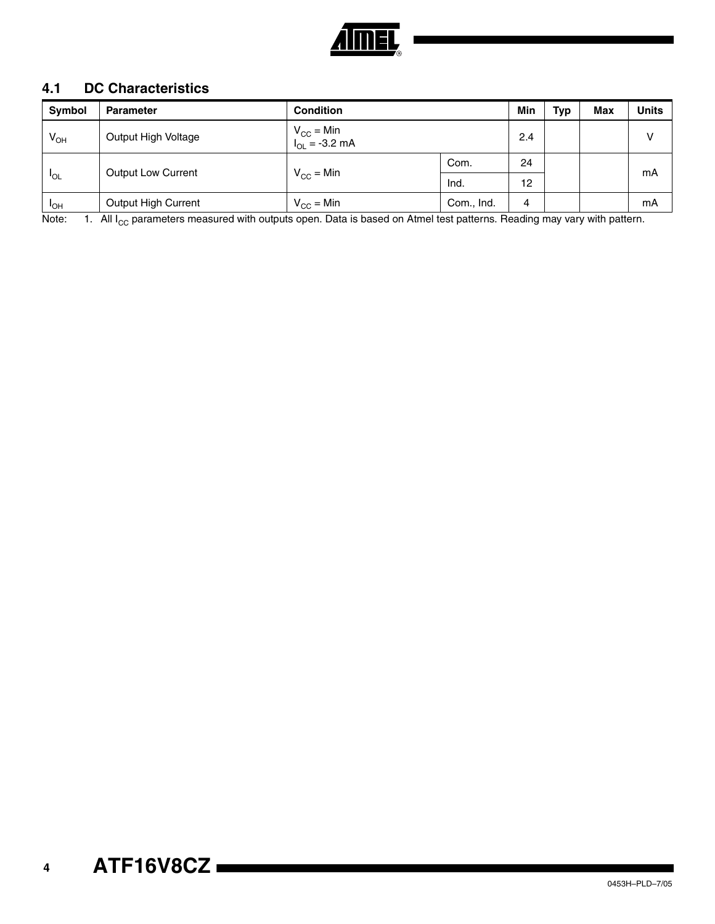

## **4.1 DC Characteristics**

| Symbol      | <b>Parameter</b>          | <b>Condition</b>                     |            | Min | Typ | <b>Max</b> | <b>Units</b> |
|-------------|---------------------------|--------------------------------------|------------|-----|-----|------------|--------------|
| $V_{OH}$    | Output High Voltage       | $V_{CC} = Min$<br>$I_{OL} = -3.2 mA$ |            | 2.4 |     |            | $\mathsf{V}$ |
|             |                           |                                      | Com.       | 24  |     |            |              |
| <b>IOL</b>  | <b>Output Low Current</b> | $V_{CC}$ = Min                       | Ind.       | 12  |     |            | mA           |
| <b>I</b> OH | Output High Current       | $V_{CC}$ = Min                       | Com., Ind. | 4   |     |            | mA           |

<span id="page-3-0"></span>Note:  $1.$  All I<sub>CC</sub> parameters measured with outputs open. Data is based on Atmel test patterns. Reading may vary with pattern.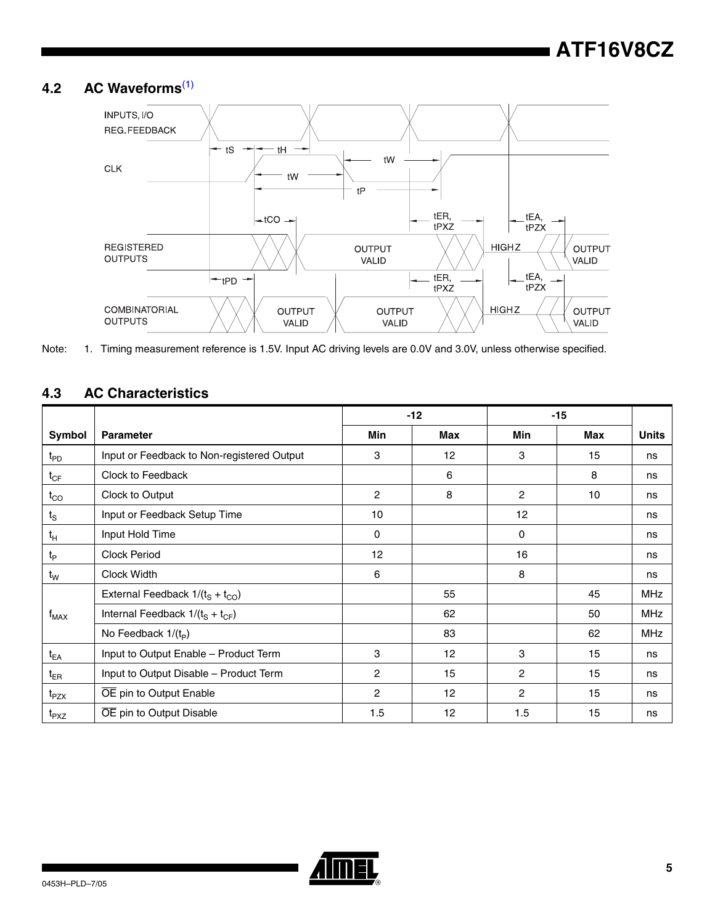## **4.2 AC Waveforms**[\(1\)](#page-4-0)



<span id="page-4-0"></span>Note: 1. Timing measurement reference is 1.5V. Input AC driving levels are 0.0V and 3.0V, unless otherwise specified.

## **4.3 AC Characteristics**

|                               |                                            |            | $-12$ |                | $-15$ |              |
|-------------------------------|--------------------------------------------|------------|-------|----------------|-------|--------------|
| Symbol                        | <b>Parameter</b>                           | <b>Min</b> | Max   | Min            | Max   | <b>Units</b> |
| $t_{PD}$                      | Input or Feedback to Non-registered Output | 3          | 12    | 3              | 15    | ns           |
| $t_{CF}$                      | Clock to Feedback                          |            | 6     |                | 8     | ns           |
| $t_{\rm CO}$                  | Clock to Output                            | 2          | 8     | $\overline{c}$ | 10    | ns           |
| $t_{\scriptscriptstyle\rm S}$ | Input or Feedback Setup Time               | 10         |       | 12             |       | ns           |
| $t_H$                         | Input Hold Time                            | 0          |       | 0              |       | ns           |
| t <sub>P</sub>                | <b>Clock Period</b>                        | 12         |       | 16             |       | ns           |
| $t_{W}$                       | Clock Width                                | 6          |       | 8              |       | ns           |
|                               | External Feedback $1/(t_S + t_{CO})$       |            | 55    |                | 45    | <b>MHz</b>   |
| $f_{MAX}$                     | Internal Feedback $1/(t_s + t_{CF})$       |            | 62    |                | 50    | <b>MHz</b>   |
|                               | No Feedback $1/(t_p)$                      |            | 83    |                | 62    | <b>MHz</b>   |
| $t_{EA}$                      | Input to Output Enable - Product Term      | 3          | 12    | 3              | 15    | ns           |
| $t_{ER}$                      | Input to Output Disable - Product Term     | 2          | 15    | 2              | 15    | ns           |
| t <sub>PZX</sub>              | OE pin to Output Enable                    | 2          | 12    | $\overline{2}$ | 15    | ns           |
| t <sub>PXZ</sub>              | OE pin to Output Disable                   | 1.5        | 12    | 1.5            | 15    | ns           |

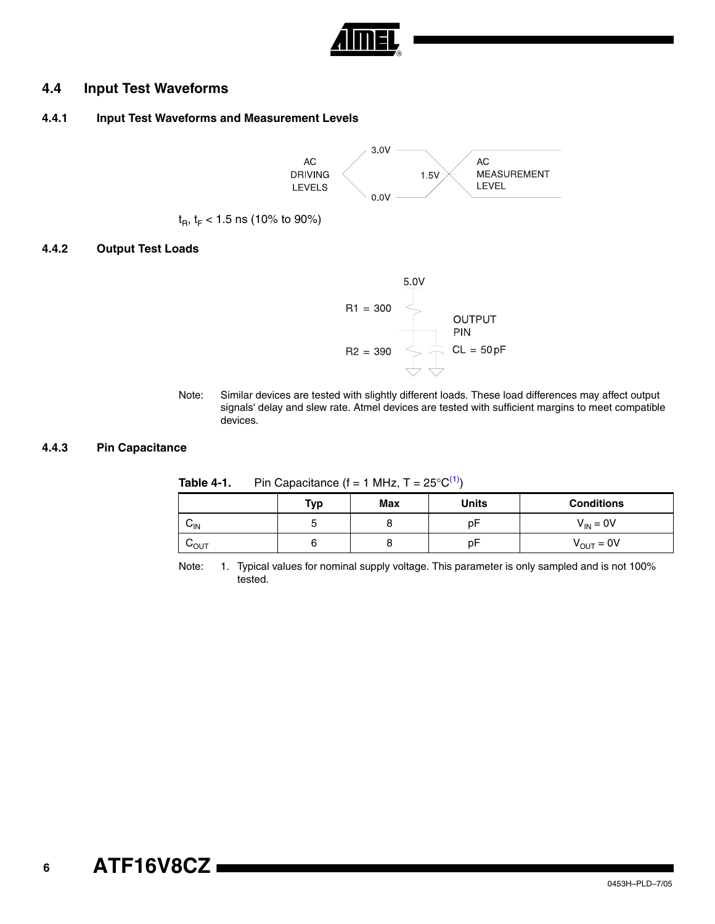

### **4.4 Input Test Waveforms**

### **4.4.1 Input Test Waveforms and Measurement Levels**



 $t_{\rm B}$ ,  $t_{\rm F}$  < 1.5 ns (10% to 90%)

#### **4.4.2 Output Test Loads**



Note: Similar devices are tested with slightly different loads. These load differences may affect output signals' delay and slew rate. Atmel devices are tested with sufficient margins to meet compatible devices.

#### **4.4.3 Pin Capacitance**

|                 | <b>Typ</b> | Max | <b>Units</b> | <b>Conditions</b>     |
|-----------------|------------|-----|--------------|-----------------------|
| $V_{\text{IN}}$ |            |     | рŀ           | $V_{IN} = 0V$         |
| ∪o∪t            |            |     | рŀ           | $V_{\text{OUT}} = 0V$ |

**Table 4-1.** Pin Capacitance  $(f = 1 \text{ MHz}, T = 25^{\circ}C^{(1)})$ 

<span id="page-5-0"></span>Note: 1. Typical values for nominal supply voltage. This parameter is only sampled and is not 100% tested.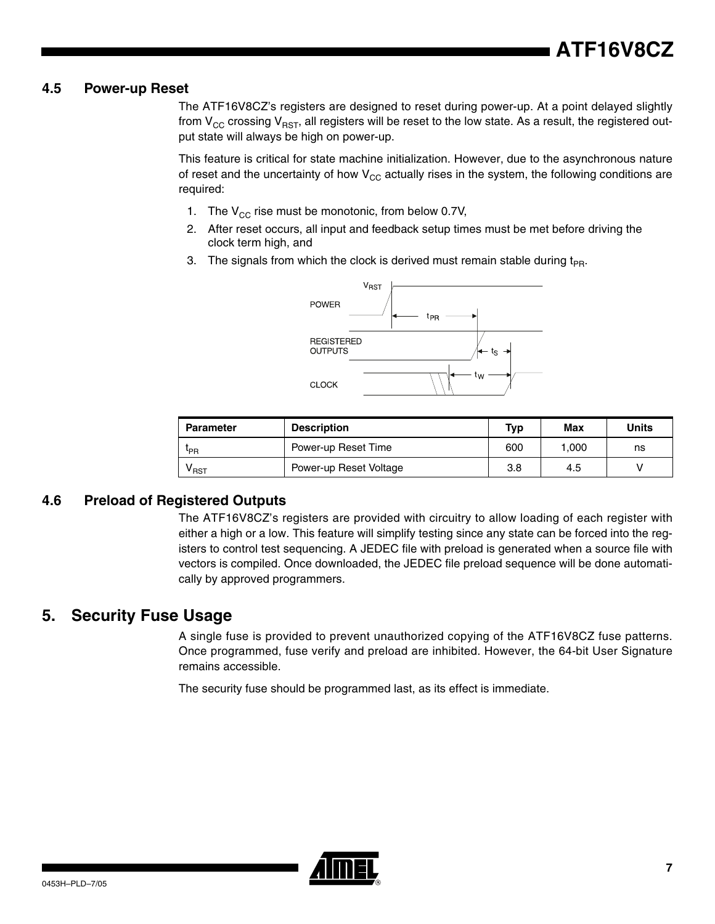### **4.5 Power-up Reset**

The ATF16V8CZ's registers are designed to reset during power-up. At a point delayed slightly from  $V_{CC}$  crossing  $V_{RST}$ , all registers will be reset to the low state. As a result, the registered output state will always be high on power-up.

This feature is critical for state machine initialization. However, due to the asynchronous nature of reset and the uncertainty of how  $V_{CC}$  actually rises in the system, the following conditions are required:

- 1. The  $V_{CC}$  rise must be monotonic, from below 0.7V,
- 2. After reset occurs, all input and feedback setup times must be met before driving the clock term high, and
- 3. The signals from which the clock is derived must remain stable during  $t_{PR}$ .



| <b>Parameter</b>            | <b>Description</b>     | <b>Typ</b> | Max   | Units |
|-----------------------------|------------------------|------------|-------|-------|
| <sup>L</sup> PR             | Power-up Reset Time    | 600        | 1.000 | ns    |
| $\mathsf{v}_{\texttt{RST}}$ | Power-up Reset Voltage | 3.8        | 4.5   |       |

### **4.6 Preload of Registered Outputs**

The ATF16V8CZ's registers are provided with circuitry to allow loading of each register with either a high or a low. This feature will simplify testing since any state can be forced into the registers to control test sequencing. A JEDEC file with preload is generated when a source file with vectors is compiled. Once downloaded, the JEDEC file preload sequence will be done automatically by approved programmers.

## **5. Security Fuse Usage**

A single fuse is provided to prevent unauthorized copying of the ATF16V8CZ fuse patterns. Once programmed, fuse verify and preload are inhibited. However, the 64-bit User Signature remains accessible.

The security fuse should be programmed last, as its effect is immediate.

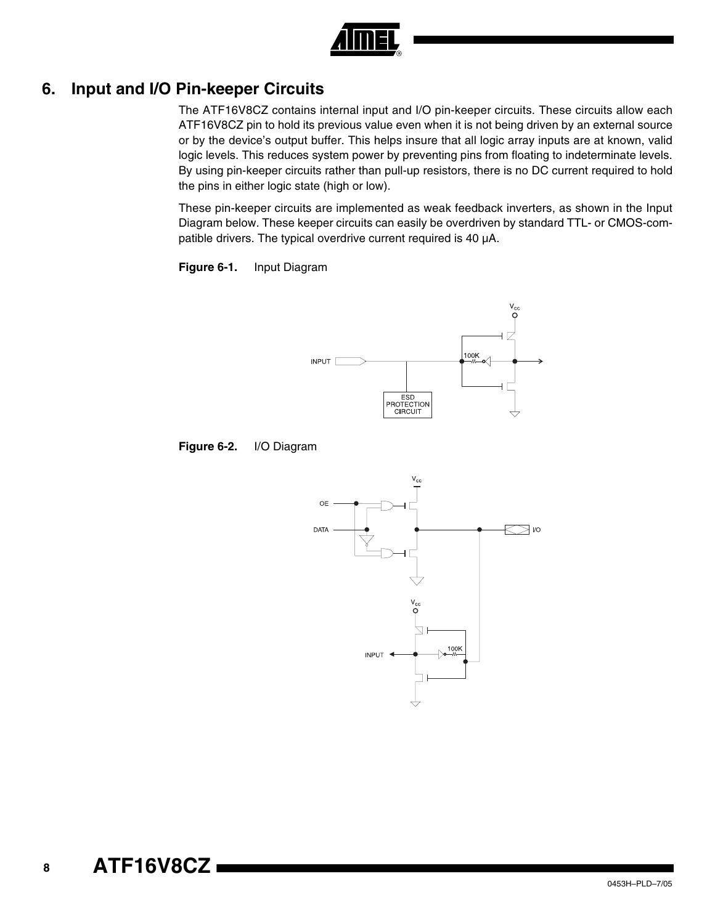

## **6. Input and I/O Pin-keeper Circuits**

The ATF16V8CZ contains internal input and I/O pin-keeper circuits. These circuits allow each ATF16V8CZ pin to hold its previous value even when it is not being driven by an external source or by the device's output buffer. This helps insure that all logic array inputs are at known, valid logic levels. This reduces system power by preventing pins from floating to indeterminate levels. By using pin-keeper circuits rather than pull-up resistors, there is no DC current required to hold the pins in either logic state (high or low).

These pin-keeper circuits are implemented as weak feedback inverters, as shown in the Input Diagram below. These keeper circuits can easily be overdriven by standard TTL- or CMOS-compatible drivers. The typical overdrive current required is 40 µA.





**Figure 6-2.** I/O Diagram

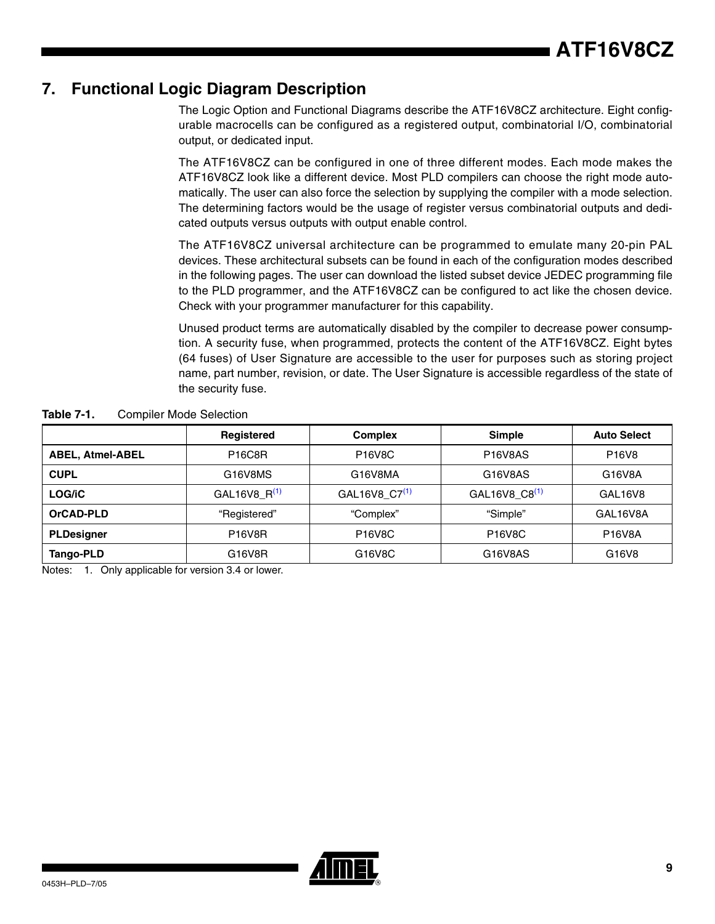## **7. Functional Logic Diagram Description**

The Logic Option and Functional Diagrams describe the ATF16V8CZ architecture. Eight configurable macrocells can be configured as a registered output, combinatorial I/O, combinatorial output, or dedicated input.

The ATF16V8CZ can be configured in one of three different modes. Each mode makes the ATF16V8CZ look like a different device. Most PLD compilers can choose the right mode automatically. The user can also force the selection by supplying the compiler with a mode selection. The determining factors would be the usage of register versus combinatorial outputs and dedicated outputs versus outputs with output enable control.

The ATF16V8CZ universal architecture can be programmed to emulate many 20-pin PAL devices. These architectural subsets can be found in each of the configuration modes described in the following pages. The user can download the listed subset device JEDEC programming file to the PLD programmer, and the ATF16V8CZ can be configured to act like the chosen device. Check with your programmer manufacturer for this capability.

Unused product terms are automatically disabled by the compiler to decrease power consumption. A security fuse, when programmed, protects the content of the ATF16V8CZ. Eight bytes (64 fuses) of User Signature are accessible to the user for purposes such as storing project name, part number, revision, or date. The User Signature is accessible regardless of the state of the security fuse.

| <b>Table 7-1.</b> | <b>Compiler Mode Selection</b> |
|-------------------|--------------------------------|
|-------------------|--------------------------------|

|                         | Registered      | <b>Complex</b>                   | <b>Simple</b>             | <b>Auto Select</b>             |
|-------------------------|-----------------|----------------------------------|---------------------------|--------------------------------|
| <b>ABEL, Atmel-ABEL</b> | <b>P16C8R</b>   | P <sub>16</sub> V <sub>8</sub> C | <b>P16V8AS</b>            | P <sub>16</sub> V <sub>8</sub> |
| <b>CUPL</b>             | G16V8MS         | G16V8MA                          | G16V8AS                   | G16V8A                         |
| LOG/iC                  | GAL16V8_R $(1)$ | GAL16V8_C7 <sup>(1)</sup>        | GAL16V8_C8 <sup>(1)</sup> | GAL16V8                        |
| OrCAD-PLD               | "Registered"    | "Complex"                        | "Simple"                  | GAL16V8A                       |
| <b>PLDesigner</b>       | <b>P16V8R</b>   | <b>P16V8C</b>                    | <b>P16V8C</b>             | <b>P16V8A</b>                  |
| Tango-PLD               | G16V8R          | G16V8C                           | G16V8AS                   | G16V8                          |

<span id="page-8-0"></span>Notes: 1. Only applicable for version 3.4 or lower.

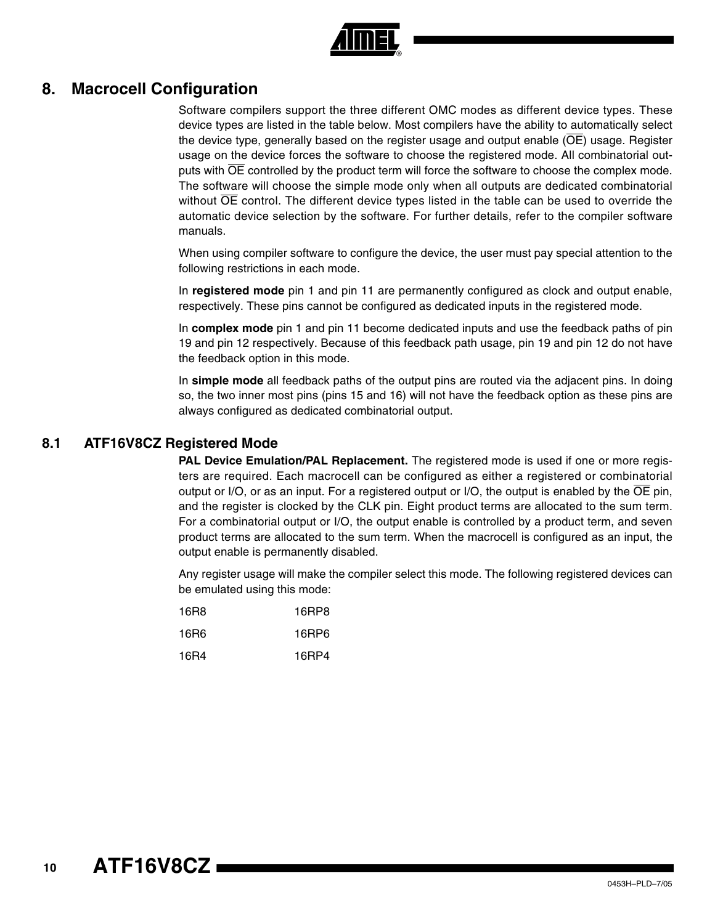

## **8. Macrocell Configuration**

Software compilers support the three different OMC modes as different device types. These device types are listed in the table below. Most compilers have the ability to automatically select the device type, generally based on the register usage and output enable  $(\overline{OE})$  usage. Register usage on the device forces the software to choose the registered mode. All combinatorial outputs with  $\overline{OE}$  controlled by the product term will force the software to choose the complex mode. The software will choose the simple mode only when all outputs are dedicated combinatorial without  $\overline{OE}$  control. The different device types listed in the table can be used to override the automatic device selection by the software. For further details, refer to the compiler software manuals.

When using compiler software to configure the device, the user must pay special attention to the following restrictions in each mode.

In **registered mode** pin 1 and pin 11 are permanently configured as clock and output enable, respectively. These pins cannot be configured as dedicated inputs in the registered mode.

In **complex mode** pin 1 and pin 11 become dedicated inputs and use the feedback paths of pin 19 and pin 12 respectively. Because of this feedback path usage, pin 19 and pin 12 do not have the feedback option in this mode.

In **simple mode** all feedback paths of the output pins are routed via the adjacent pins. In doing so, the two inner most pins (pins 15 and 16) will not have the feedback option as these pins are always configured as dedicated combinatorial output.

### **8.1 ATF16V8CZ Registered Mode**

**PAL Device Emulation/PAL Replacement.** The registered mode is used if one or more registers are required. Each macrocell can be configured as either a registered or combinatorial output or I/O, or as an input. For a registered output or I/O, the output is enabled by the OE pin, and the register is clocked by the CLK pin. Eight product terms are allocated to the sum term. For a combinatorial output or I/O, the output enable is controlled by a product term, and seven product terms are allocated to the sum term. When the macrocell is configured as an input, the output enable is permanently disabled.

Any register usage will make the compiler select this mode. The following registered devices can be emulated using this mode:

| 16R8 | 16RP8 |
|------|-------|
| 16R6 | 16RP6 |
| 16R4 | 16RP4 |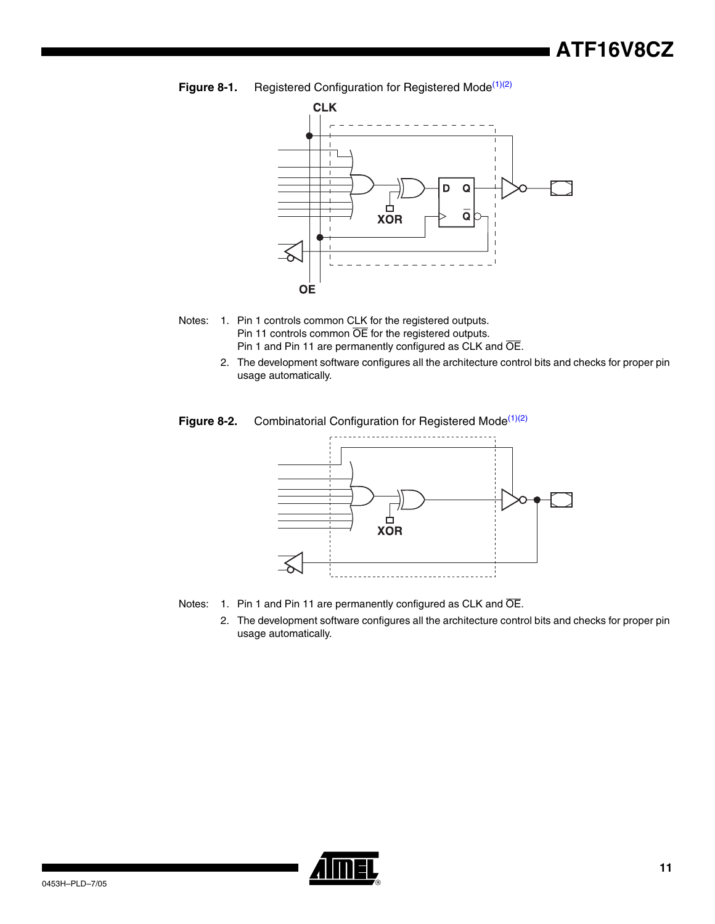**Figure 8-1.** Registered Configuration for Registered Mode<sup>[\(1\)](#page-10-0)[\(2\)](#page-10-1)</sup>



- <span id="page-10-1"></span><span id="page-10-0"></span>Notes: 1. Pin 1 controls common CLK for the registered outputs. Pin 11 controls common OE for the registered outputs. Pin 1 and Pin 11 are permanently configured as CLK and OE.
	- 2. The development software configures all the architecture control bits and checks for proper pin usage automatically.

#### Figure 8-2. Combinatorial Configuration for Registered Mode<sup>[\(1\)](#page-10-2)[\(2\)](#page-10-3)</sup>



- <span id="page-10-3"></span><span id="page-10-2"></span>Notes: 1. Pin 1 and Pin 11 are permanently configured as CLK and OE.
	- 2. The development software configures all the architecture control bits and checks for proper pin usage automatically.

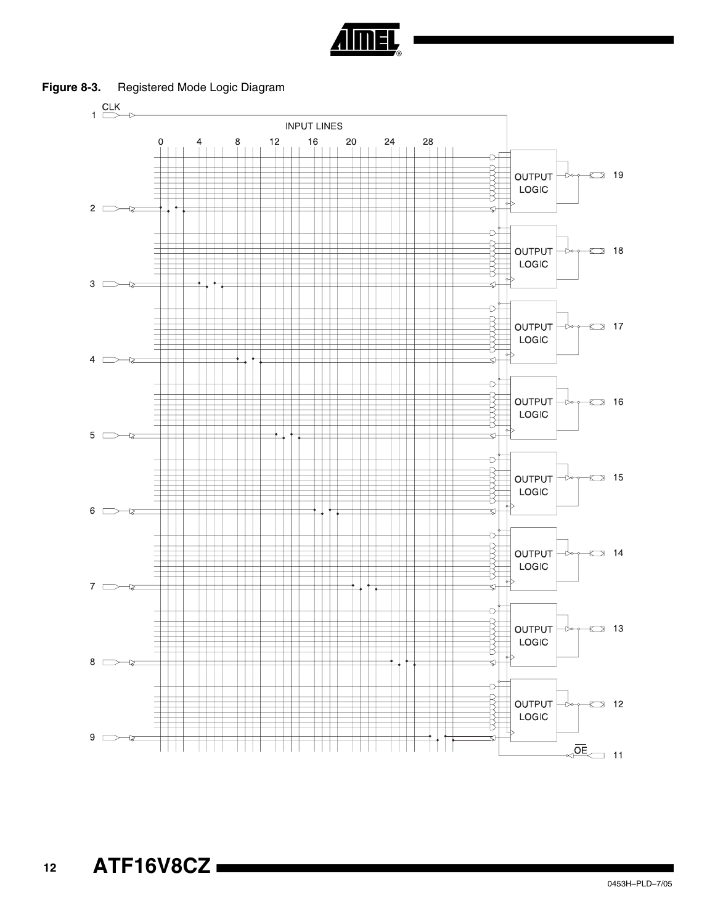

Figure 8-3. Registered Mode Logic Diagram

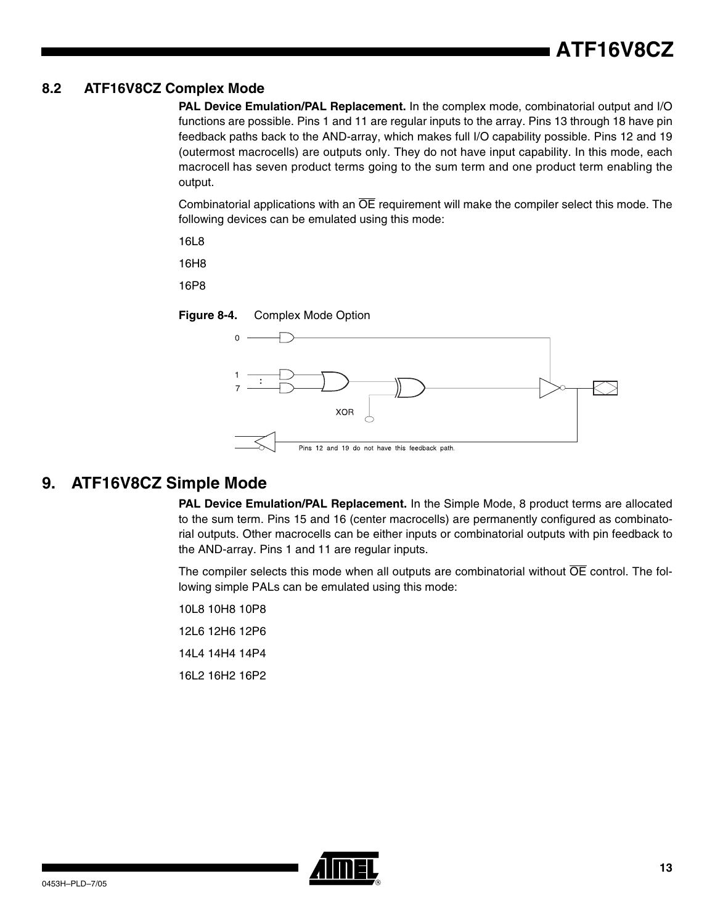### **8.2 ATF16V8CZ Complex Mode**

**PAL Device Emulation/PAL Replacement.** In the complex mode, combinatorial output and I/O functions are possible. Pins 1 and 11 are regular inputs to the array. Pins 13 through 18 have pin feedback paths back to the AND-array, which makes full I/O capability possible. Pins 12 and 19 (outermost macrocells) are outputs only. They do not have input capability. In this mode, each macrocell has seven product terms going to the sum term and one product term enabling the output.

Combinatorial applications with an OE requirement will make the compiler select this mode. The following devices can be emulated using this mode:

16L8

16H8

16P8





## **9. ATF16V8CZ Simple Mode**

**PAL Device Emulation/PAL Replacement.** In the Simple Mode, 8 product terms are allocated to the sum term. Pins 15 and 16 (center macrocells) are permanently configured as combinatorial outputs. Other macrocells can be either inputs or combinatorial outputs with pin feedback to the AND-array. Pins 1 and 11 are regular inputs.

The compiler selects this mode when all outputs are combinatorial without  $\overline{OE}$  control. The following simple PALs can be emulated using this mode:

10L8 10H8 10P8 12L6 12H6 12P6 14L4 14H4 14P4 16L2 16H2 16P2

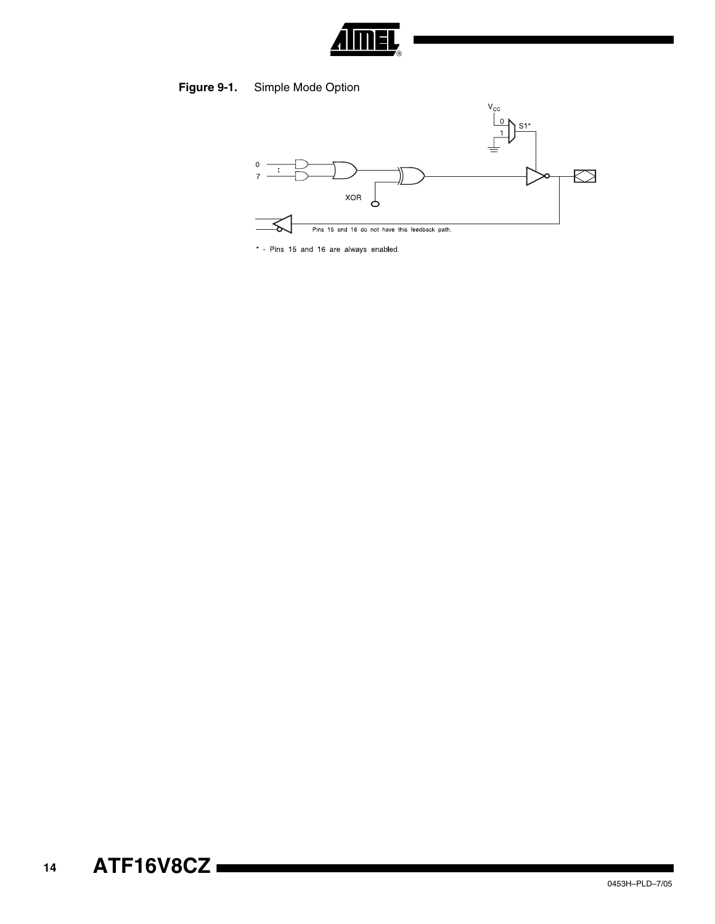

## Figure 9-1. Simple Mode Option



\* - Pins 15 and 16 are always enabled.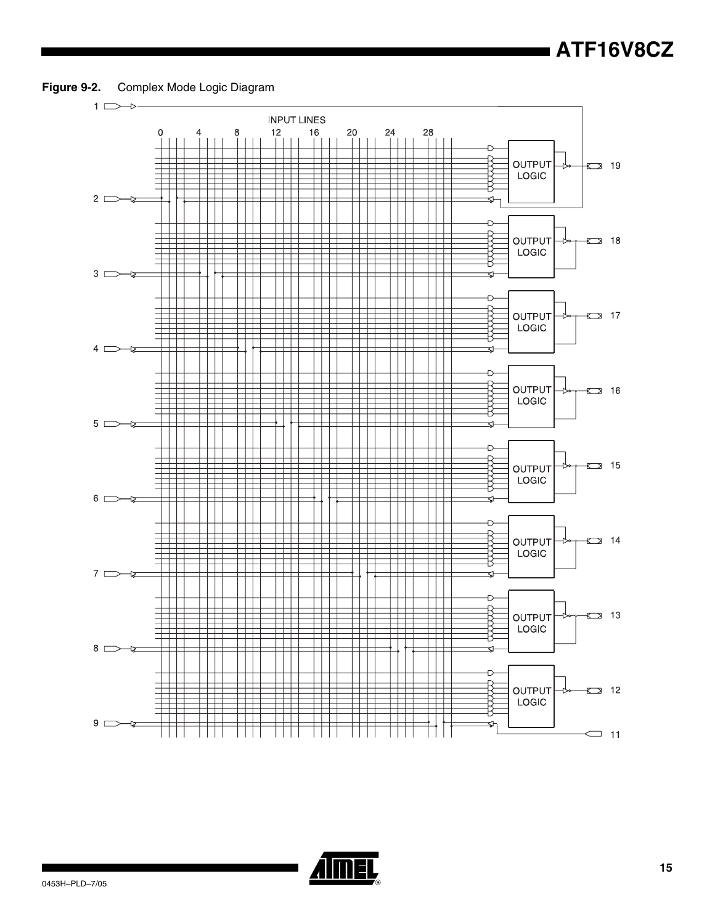



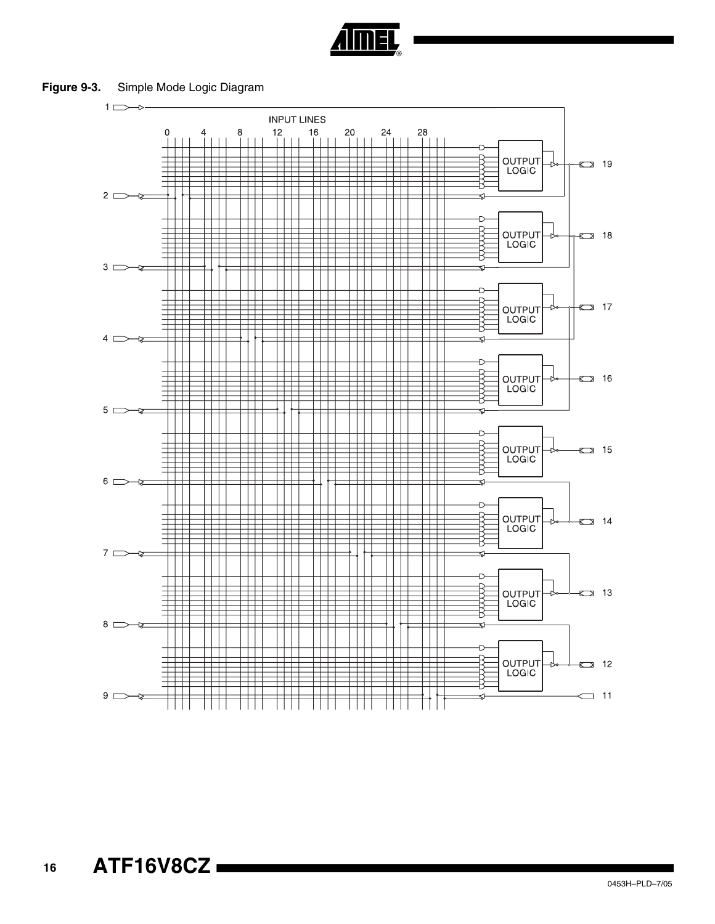

**Figure 9-3.** Simple Mode Logic Diagram

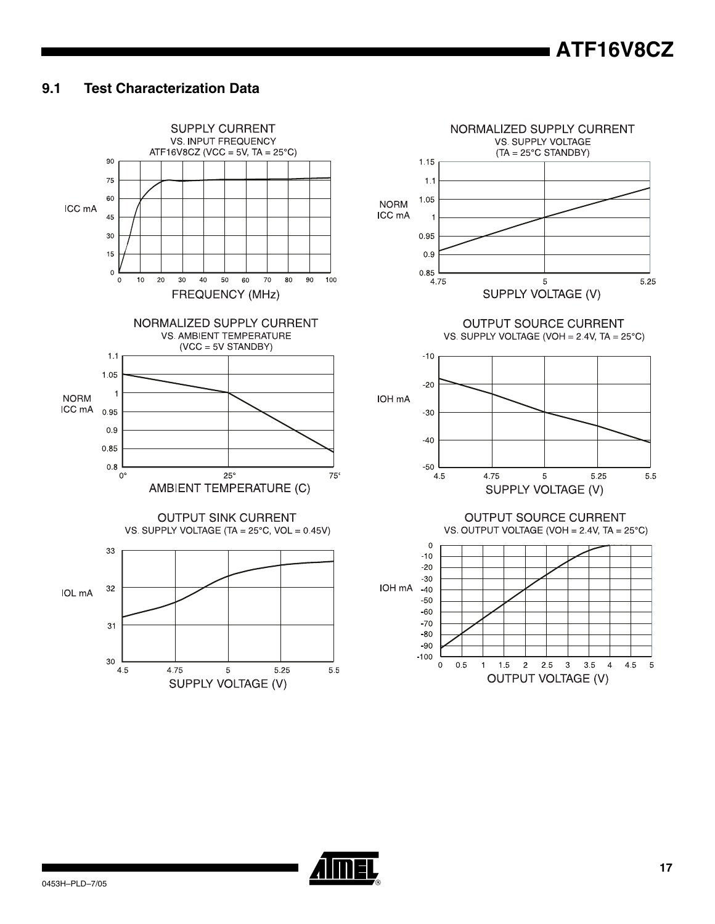## **ATF16V8CZ**

#### $9.1$ **Test Characterization Data**



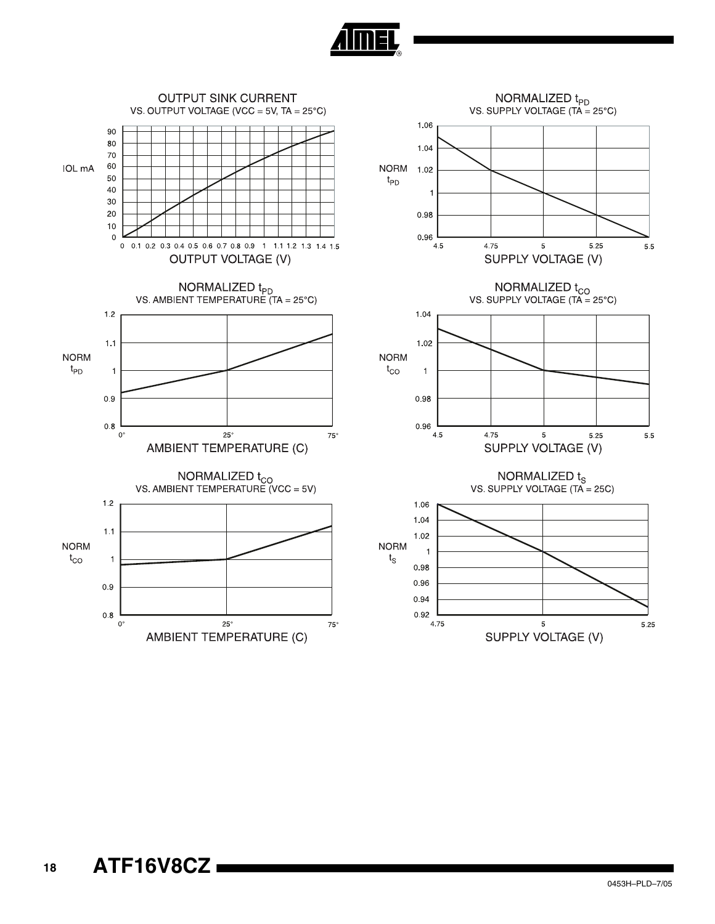

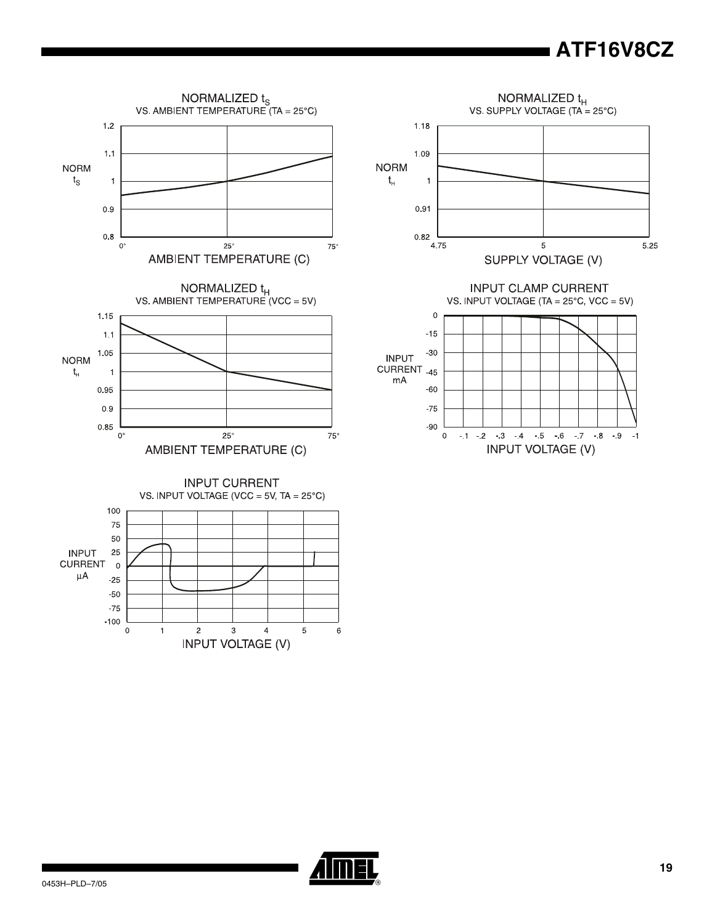# **ATF16V8CZ**

 $-9$  $-1$ 





 $-1$   $-2$   $-3$   $4$   $-5$   $-6$   $-7$   $-8$ 

**INPUT VOLTAGE (V)** 

 $-90$ 

 $\mathbf 0$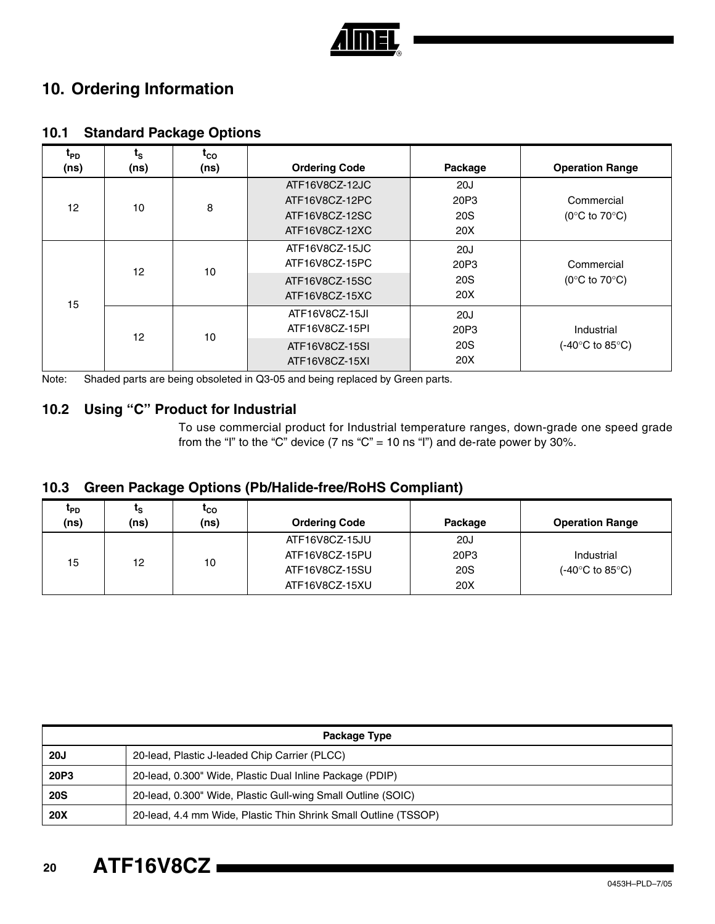

## **10. Ordering Information**

| t <sub>PD</sub><br>(ns) | $t_{\rm S}$<br>(ns) | $t_{CO}$<br>(ns) | <b>Ordering Code</b> | Package         | <b>Operation Range</b>            |
|-------------------------|---------------------|------------------|----------------------|-----------------|-----------------------------------|
| 12                      | 10                  | 8                | ATF16V8CZ-12JC       | 20J             |                                   |
|                         |                     |                  | ATF16V8CZ-12PC       | 20P3            | Commercial                        |
|                         |                     |                  | ATF16V8CZ-12SC       | 20S             | (0 $\degree$ C to 70 $\degree$ C) |
|                         |                     |                  | ATF16V8CZ-12XC       | 20X             |                                   |
| 15                      | 12                  | 10               | ATF16V8CZ-15JC       | 20J             |                                   |
|                         |                     |                  | ATF16V8CZ-15PC       | 20P3            | Commercial                        |
|                         |                     |                  | ATF16V8CZ-15SC       | 20 <sub>S</sub> | (0 $\degree$ C to 70 $\degree$ C) |
|                         |                     |                  | ATF16V8CZ-15XC       | 20X             |                                   |
|                         | 12                  | 10               | ATF16V8CZ-15JI       | 20J             |                                   |
|                         |                     |                  | ATF16V8CZ-15PI       | 20P3            | Industrial                        |
|                         |                     |                  | ATF16V8CZ-15SI       | <b>20S</b>      | (-40°C to 85°C).                  |
|                         |                     |                  | ATF16V8CZ-15XI       | 20X             |                                   |

## **10.1 Standard Package Options**

Note: Shaded parts are being obsoleted in Q3-05 and being replaced by Green parts.

### **10.2 Using "C" Product for Industrial**

To use commercial product for Industrial temperature ranges, down-grade one speed grade from the "I" to the "C" device (7 ns "C" = 10 ns "I") and de-rate power by 30%.

### **10.3 Green Package Options (Pb/Halide-free/RoHS Compliant)**

| <sup>L</sup> PD.<br>(ns) | ւ <sub>Տ</sub><br>(ns) | <sup>L</sup> CO<br>(ns) | <b>Ordering Code</b>             | Package     | <b>Operation Range</b> |
|--------------------------|------------------------|-------------------------|----------------------------------|-------------|------------------------|
| 15                       | 12                     | 10                      | ATF16V8CZ-15JU<br>ATF16V8CZ-15PU | 20J<br>20P3 | Industrial             |
|                          |                        |                         | ATF16V8CZ-15SU                   | <b>20S</b>  | (-40°C to 85°C)        |
|                          |                        |                         | ATF16V8CZ-15XU                   | 20X         |                        |

| Package Type |                                                                 |  |  |  |
|--------------|-----------------------------------------------------------------|--|--|--|
| <b>20J</b>   | 20-lead, Plastic J-leaded Chip Carrier (PLCC)                   |  |  |  |
| 20P3         | 20-lead, 0.300" Wide, Plastic Dual Inline Package (PDIP)        |  |  |  |
| <b>20S</b>   | 20-lead, 0.300" Wide, Plastic Gull-wing Small Outline (SOIC)    |  |  |  |
| <b>20X</b>   | 20-lead, 4.4 mm Wide, Plastic Thin Shrink Small Outline (TSSOP) |  |  |  |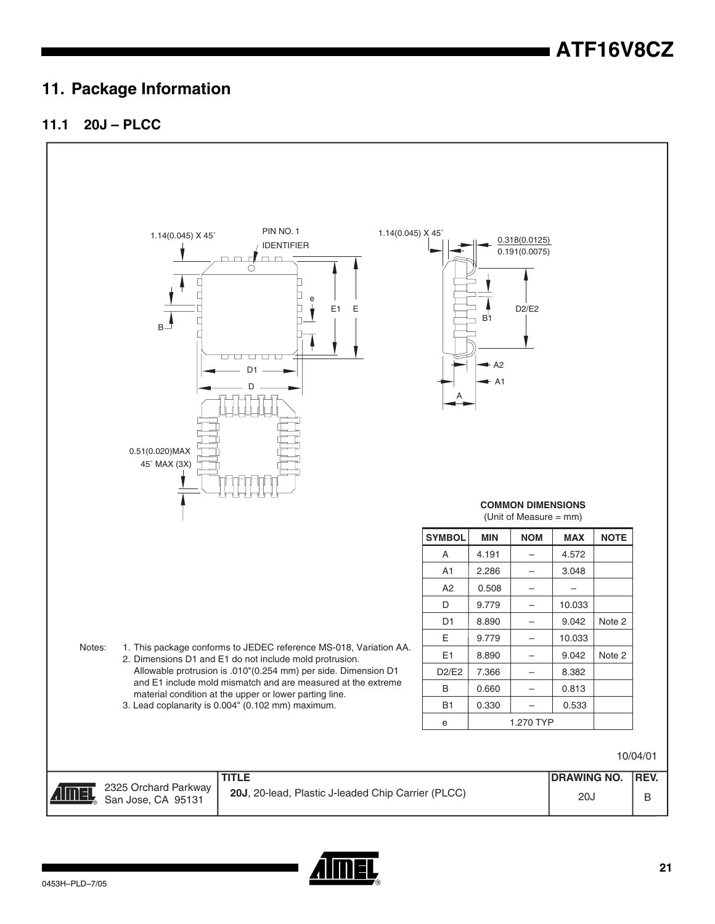## **11. Package Information**

## **11.1 20J – PLCC**



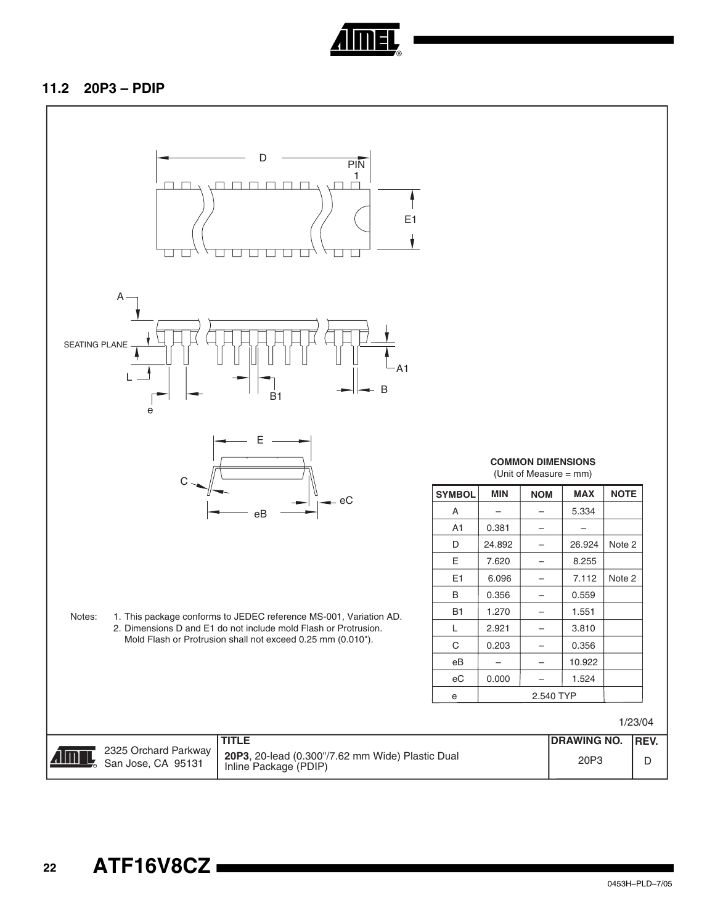

### **11.2 20P3 – PDIP**

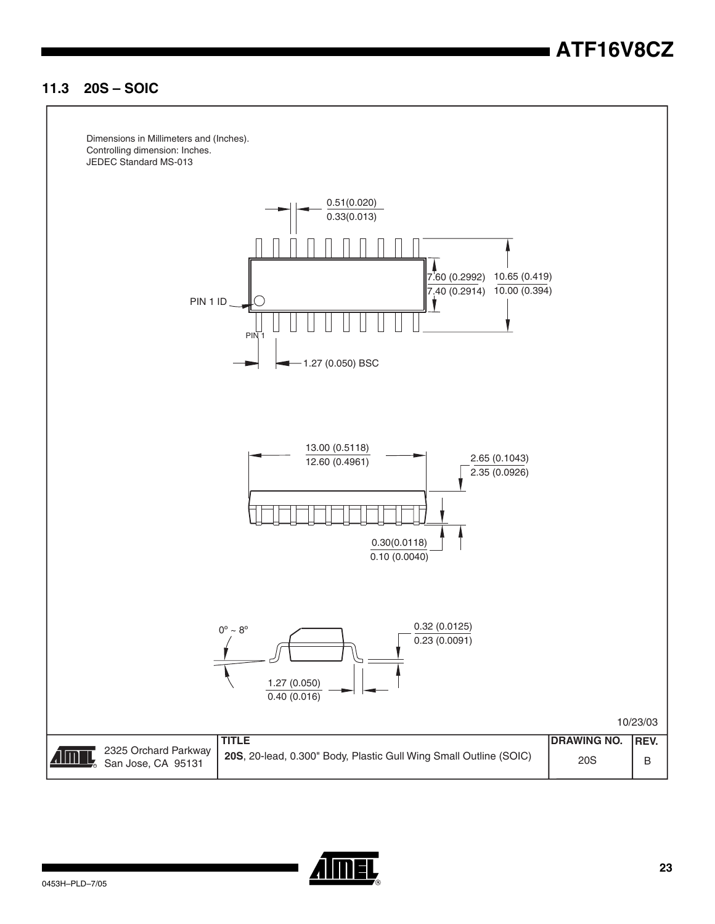## **11.3 20S – SOIC**



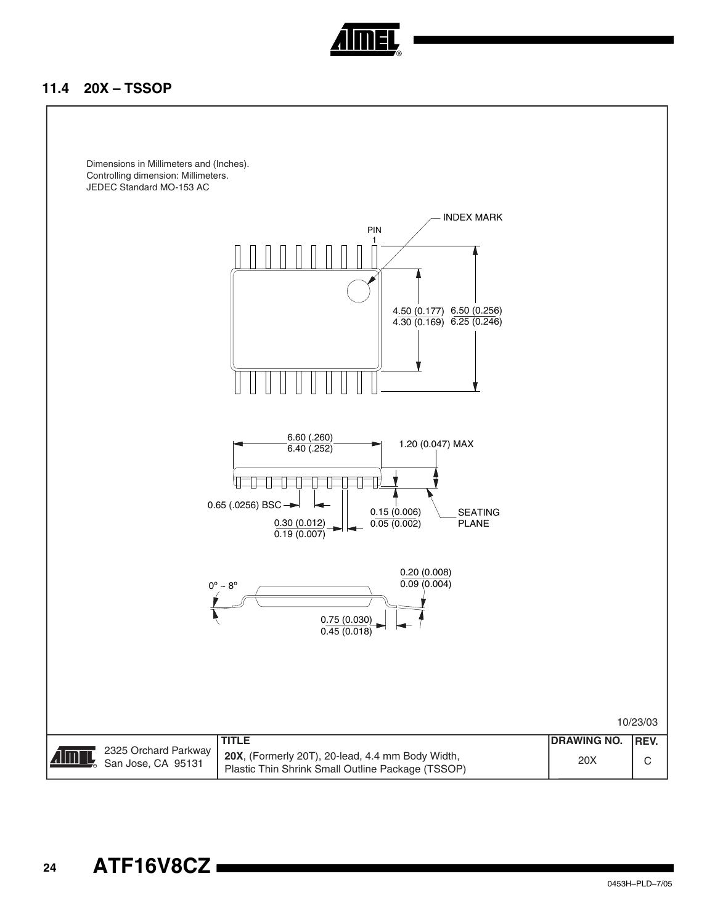

### **11.4 20X – TSSOP**

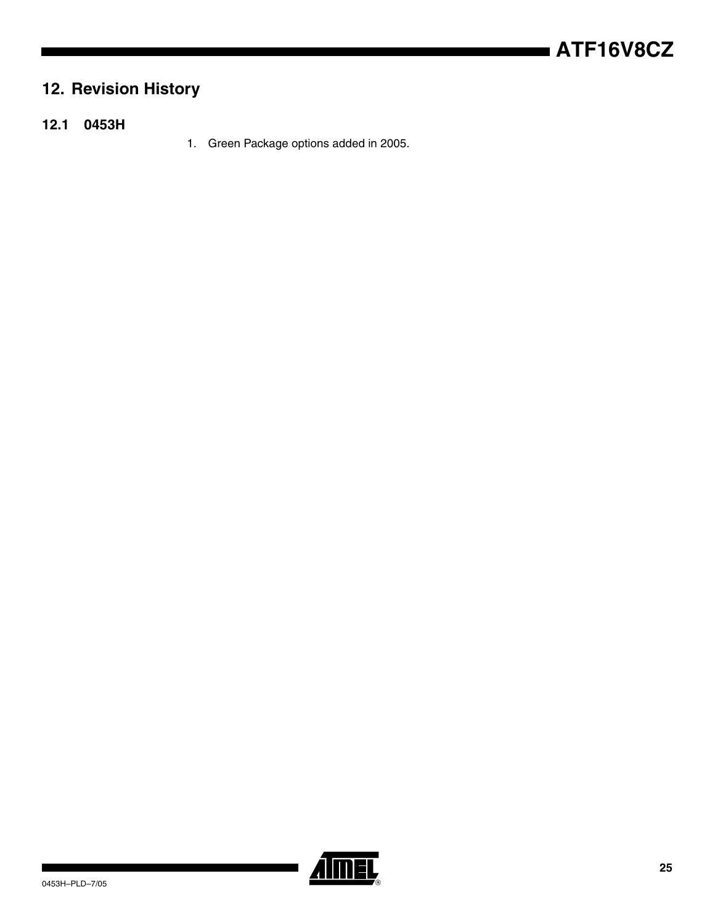## **12. Revision History**

- **12.1 0453H**
- 1. Green Package options added in 2005.